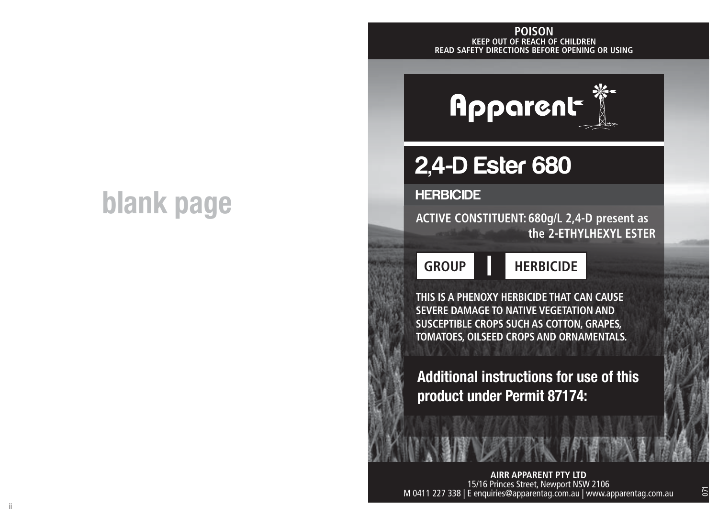# **blank page**

ii

#### **KEEP OUT OF REACH OF CHILDREN READ SAFETY DIRECTIONS BEFORE OPENING OR USING POISON**



## 2,4-D Ester 680

#### **HERBICIDE**

**ACTIVE CONSTITUENT: 680g/L 2,4-D present as the 2-ETHYLHEXYL ESTER**

**HERBICIDE GROUP I**

**THIS IS A PHENOXY HERBICIDE THAT CAN CAUSE SEVERE DAMAGE TO NATIVE VEGETATION AND SUSCEPTIBLE CROPS SUCH AS COTTON, GRAPES, TOMATOES, OILSEED CROPS AND ORNAMENTALS.**

**Additional instructions for use of this product under Permit 87174:**

**AIRR APPARENT PTY LTD**<br>15/16 Princes Street, Newport NSW 2106<br>15 M 0411 227 338 | E enquiries@apparentag.com.au | www.apparentag.com.au

071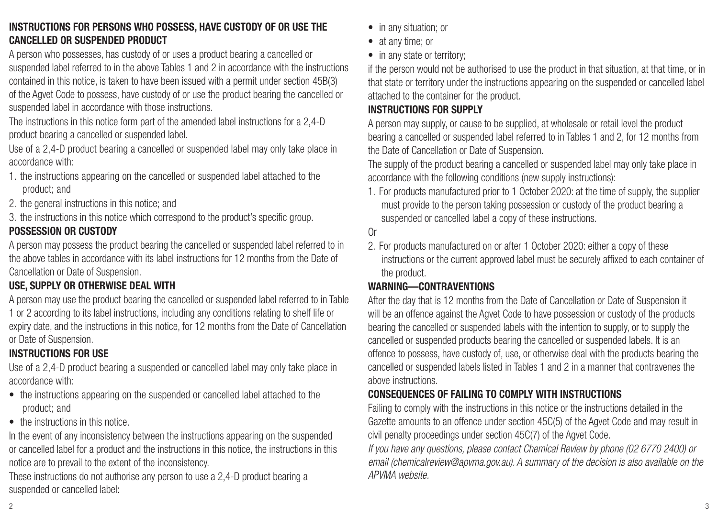#### **INSTRUCTIONS FOR PERSONS WHO POSSESS, HAVE CUSTODY OF OR USE THE CANCELLED OR SUSPENDED PRODUCT**

A person who possesses, has custody of or uses a product bearing a cancelled or suspended label referred to in the above Tables 1 and 2 in accordance with the instructions contained in this notice, is taken to have been issued with a permit under section 45B(3) of the Agvet Code to possess, have custody of or use the product bearing the cancelled or suspended label in accordance with those instructions.

The instructions in this notice form part of the amended label instructions for a 2,4-D product bearing a cancelled or suspended label.

Use of a 2,4-D product bearing a cancelled or suspended label may only take place in accordance with:

- 1. the instructions appearing on the cancelled or suspended label attached to the product; and
- 2. the general instructions in this notice; and

3. the instructions in this notice which correspond to the product's specific group. **POSSESSION OR CUSTODY**

A person may possess the product bearing the cancelled or suspended label referred to in the above tables in accordance with its label instructions for 12 months from the Date of Cancellation or Date of Suspension.

#### **USE, SUPPLY OR OTHERWISE DEAL WITH**

A person may use the product bearing the cancelled or suspended label referred to in Table 1 or 2 according to its label instructions, including any conditions relating to shelf life or expiry date, and the instructions in this notice, for 12 months from the Date of Cancellation or Date of Suspension.

#### **INSTRUCTIONS FOR USE**

Use of a 2,4-D product bearing a suspended or cancelled label may only take place in accordance with:

- the instructions appearing on the suspended or cancelled label attached to the product; and
- the instructions in this notice.

In the event of any inconsistency between the instructions appearing on the suspended or cancelled label for a product and the instructions in this notice, the instructions in this notice are to prevail to the extent of the inconsistency.

These instructions do not authorise any person to use a 2,4-D product bearing a suspended or cancelled label:

- in any situation; or
- at any time; or
- in any state or territory:

if the person would not be authorised to use the product in that situation, at that time, or in that state or territory under the instructions appearing on the suspended or cancelled label attached to the container for the product.

#### **INSTRUCTIONS FOR SUPPLY**

A person may supply, or cause to be supplied, at wholesale or retail level the product bearing a cancelled or suspended label referred to in Tables 1 and 2, for 12 months from the Date of Cancellation or Date of Suspension.

The supply of the product bearing a cancelled or suspended label may only take place in accordance with the following conditions (new supply instructions):

1. For products manufactured prior to 1 October 2020: at the time of supply, the supplier must provide to the person taking possession or custody of the product bearing a suspended or cancelled label a copy of these instructions.

#### Or

2. For products manufactured on or after 1 October 2020: either a copy of these instructions or the current approved label must be securely affixed to each container of the product.

#### **WARNING—CONTRAVENTIONS**

After the day that is 12 months from the Date of Cancellation or Date of Suspension it will be an offence against the Agvet Code to have possession or custody of the products bearing the cancelled or suspended labels with the intention to supply, or to supply the cancelled or suspended products bearing the cancelled or suspended labels. It is an offence to possess, have custody of, use, or otherwise deal with the products bearing the cancelled or suspended labels listed in Tables 1 and 2 in a manner that contravenes the above instructions.

#### **CONSEQUENCES OF FAILING TO COMPLY WITH INSTRUCTIONS**

Failing to comply with the instructions in this notice or the instructions detailed in the Gazette amounts to an offence under section 45C(5) of the Agvet Code and may result in civil penalty proceedings under section 45C(7) of the Agvet Code.

*If you have any questions, please contact Chemical Review by phone (02 6770 2400) or email (chemicalreview@apvma.gov.au). A summary of the decision is also available on the APVMA website.*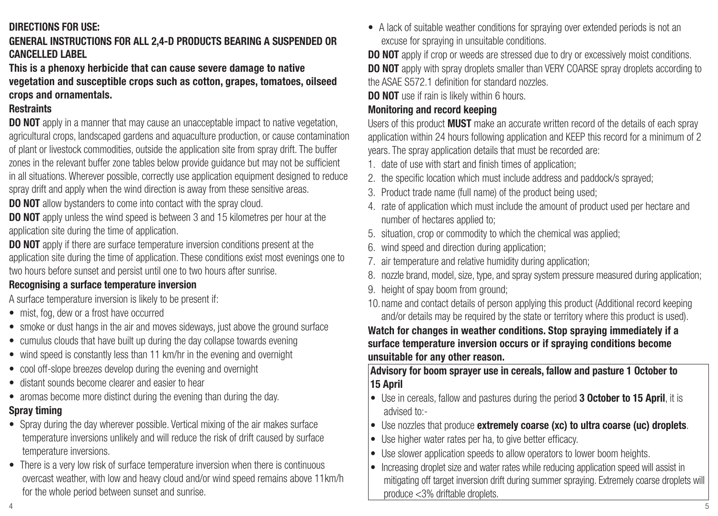#### **DIRECTIONS FOR USE:**

#### **GENERAL INSTRUCTIONS FOR ALL 2,4-D PRODUCTS BEARING A SUSPENDED OR CANCELLED LABEL**

#### **This is a phenoxy herbicide that can cause severe damage to native vegetation and susceptible crops such as cotton, grapes, tomatoes, oilseed crops and ornamentals.**

#### **Restraints**

**DO NOT** apply in a manner that may cause an unacceptable impact to native vegetation. agricultural crops, landscaped gardens and aquaculture production, or cause contamination of plant or livestock commodities, outside the application site from spray drift. The buffer zones in the relevant buffer zone tables below provide guidance but may not be sufficient in all situations. Wherever possible, correctly use application equipment designed to reduce spray drift and apply when the wind direction is away from these sensitive areas.

**DO NOT** allow bystanders to come into contact with the spray cloud.

**DO NOT** apply unless the wind speed is between 3 and 15 kilometres per hour at the application site during the time of application.

**DO NOT** apply if there are surface temperature inversion conditions present at the application site during the time of application. These conditions exist most evenings one to two hours before sunset and persist until one to two hours after sunrise.

#### **Recognising a surface temperature inversion**

A surface temperature inversion is likely to be present if:

- mist, fog, dew or a frost have occurred
- smoke or dust hangs in the air and moves sideways, just above the ground surface
- cumulus clouds that have built up during the day collapse towards evening
- wind speed is constantly less than 11 km/hr in the evening and overnight
- cool off-slope breezes develop during the evening and overnight
- distant sounds become clearer and easier to hear
- aromas become more distinct during the evening than during the day.

### **Spray timing**

- Spray during the day wherever possible. Vertical mixing of the air makes surface temperature inversions unlikely and will reduce the risk of drift caused by surface temperature inversions.
- There is a very low risk of surface temperature inversion when there is continuous overcast weather, with low and heavy cloud and/or wind speed remains above 11km/h for the whole period between sunset and sunrise.

• A lack of suitable weather conditions for spraying over extended periods is not an excuse for spraying in unsuitable conditions.

**DO NOT** apply if crop or weeds are stressed due to dry or excessively moist conditions. **DO NOT** apply with spray droplets smaller than VERY COARSE spray droplets according to the ASAE S572.1 definition for standard nozzles.

**DO NOT** use if rain is likely within 6 hours.

#### **Monitoring and record keeping**

Users of this product **MUST** make an accurate written record of the details of each spray application within 24 hours following application and KEEP this record for a minimum of 2 years. The spray application details that must be recorded are:

- 1. date of use with start and finish times of application;
- 2. the specific location which must include address and paddock/s sprayed;
- 3. Product trade name (full name) of the product being used;
- 4. rate of application which must include the amount of product used per hectare and number of hectares applied to;
- 5. situation, crop or commodity to which the chemical was applied;
- 6. wind speed and direction during application;
- 7. air temperature and relative humidity during application;
- 8. nozzle brand, model, size, type, and spray system pressure measured during application;
- 9. height of spay boom from ground:
- 10.name and contact details of person applying this product (Additional record keeping and/or details may be required by the state or territory where this product is used).

#### **Watch for changes in weather conditions. Stop spraying immediately if a surface temperature inversion occurs or if spraying conditions become unsuitable for any other reason.**

**Advisory for boom sprayer use in cereals, fallow and pasture 1 October to 15 April**

- Use in cereals, fallow and pastures during the period **3 October to 15 April**, it is advised to:-
- Use nozzles that produce **extremely coarse (xc) to ultra coarse (uc) droplets**.
- Use higher water rates per ha, to give better efficacy.
- Use slower application speeds to allow operators to lower boom heights.
- $4$ • Increasing droplet size and water rates while reducing application speed will assist in mitigating off target inversion drift during summer spraying. Extremely coarse droplets will produce <3% driftable droplets.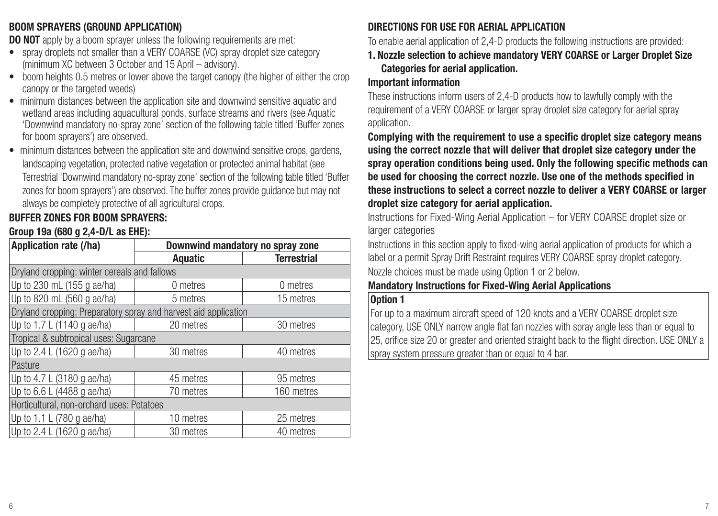#### **BOOM SPRAYERS (GROUND APPLICATION)**

**DO NOT** apply by a boom sprayer unless the following requirements are met:

- spray droplets not smaller than a VERY COARSE (VC) spray droplet size category (minimum XC between 3 October and 15 April – advisory).
- boom heights 0.5 metres or lower above the target canopy (the higher of either the crop canopy or the targeted weeds)
- minimum distances between the application site and downwind sensitive aquatic and wetland areas including aquacultural ponds, surface streams and rivers (see Aquatic 'Downwind mandatory no-spray zone' section of the following table titled 'Buffer zones for boom sprayers') are observed.
- minimum distances between the application site and downwind sensitive crops, gardens, landscaping vegetation, protected native vegetation or protected animal habitat (see Terrestrial 'Downwind mandatory no-spray zone' section of the following table titled 'Buffer zones for boom sprayers') are observed. The buffer zones provide guidance but may not always be completely protective of all agricultural crops.

#### **BUFFER ZONES FOR BOOM SPRAYERS:**

#### **Group 19a (680 g 2,4-D/L as EHE):**

| Application rate (/ha)                                          | Downwind mandatory no spray zone |                    |  |  |  |
|-----------------------------------------------------------------|----------------------------------|--------------------|--|--|--|
|                                                                 | Aquatic                          | <b>Terrestrial</b> |  |  |  |
| Dryland cropping: winter cereals and fallows                    |                                  |                    |  |  |  |
| Up to 230 mL (155 g ae/ha)                                      | 0 metres                         | 0 metres           |  |  |  |
| Up to 820 mL (560 g ae/ha)                                      | 5 metres                         | 15 metres          |  |  |  |
| Dryland cropping: Preparatory spray and harvest aid application |                                  |                    |  |  |  |
| Up to 1.7 L (1140 g ae/ha)                                      | 20 metres                        | 30 metres          |  |  |  |
| Tropical & subtropical uses: Sugarcane                          |                                  |                    |  |  |  |
| Up to 2.4 L (1620 g ae/ha)                                      | 30 metres                        | 40 metres          |  |  |  |
| Pasture                                                         |                                  |                    |  |  |  |
| Up to 4.7 L (3180 g ae/ha)                                      | 45 metres                        | 95 metres          |  |  |  |
| Up to 6.6 L (4488 g ae/ha)                                      | 70 metres                        | 160 metres         |  |  |  |
| Horticultural, non-orchard uses: Potatoes                       |                                  |                    |  |  |  |
| Up to 1.1 L (780 g ae/ha)                                       | 10 metres                        | 25 metres          |  |  |  |
| Up to 2.4 L (1620 g ae/ha)                                      | 30 metres                        | 40 metres          |  |  |  |

#### **DIRECTIONS FOR USE FOR AERIAL APPLICATION**

To enable aerial application of 2,4-D products the following instructions are provided:

**1. Nozzle selection to achieve mandatory VERY COARSE or Larger Droplet Size Categories for aerial application.**

#### **Important information**

These instructions inform users of 2,4-D products how to lawfully comply with the requirement of a VERY COARSE or larger spray droplet size category for aerial spray application.

**Complying with the requirement to use a specific droplet size category means using the correct nozzle that will deliver that droplet size category under the spray operation conditions being used. Only the following specific methods can be used for choosing the correct nozzle. Use one of the methods specified in these instructions to select a correct nozzle to deliver a VERY COARSE or larger droplet size category for aerial application.**

Instructions for Fixed-Wing Aerial Application – for VERY COARSE droplet size or larger categories

Instructions in this section apply to fixed-wing aerial application of products for which a label or a permit Spray Drift Restraint requires VERY COARSE spray droplet category. Nozzle choices must be made using Option 1 or 2 below.

#### **Mandatory Instructions for Fixed-Wing Aerial Applications**

#### **Option 1**

For up to a maximum aircraft speed of 120 knots and a VERY COARSE droplet size category, USE ONLY narrow angle flat fan nozzles with spray angle less than or equal to 25, orifice size 20 or greater and oriented straight back to the flight direction. USE ONLY a spray system pressure greater than or equal to 4 bar.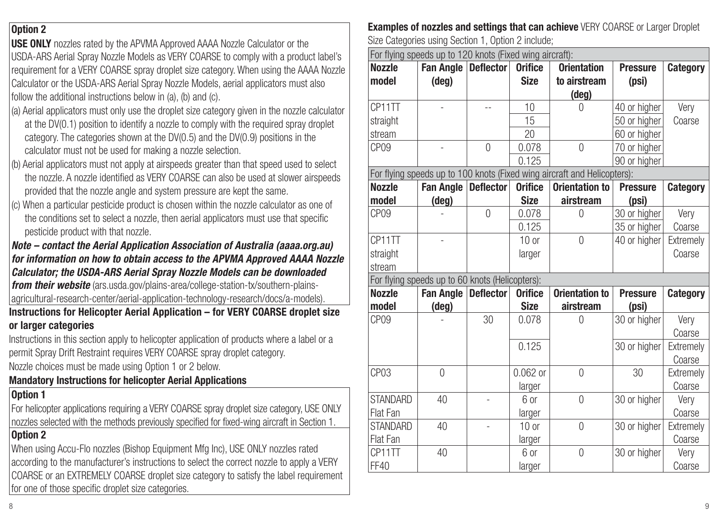#### **Option 2**

**USE ONLY** nozzles rated by the APVMA Approved AAAA Nozzle Calculator or the USDA-ARS Aerial Spray Nozzle Models as VERY COARSE to comply with a product label's requirement for a VERY COARSE spray droplet size category. When using the AAAA Nozzle Calculator or the USDA-ARS Aerial Spray Nozzle Models, aerial applicators must also follow the additional instructions below in (a), (b) and (c).

- (a) Aerial applicators must only use the droplet size category given in the nozzle calculator at the DV(0.1) position to identify a nozzle to comply with the required spray droplet category. The categories shown at the DV(0.5) and the DV(0.9) positions in the calculator must not be used for making a nozzle selection.
- (b) Aerial applicators must not apply at airspeeds greater than that speed used to select the nozzle. A nozzle identified as VERY COARSE can also be used at slower airspeeds provided that the nozzle angle and system pressure are kept the same.
- (c) When a particular pesticide product is chosen within the nozzle calculator as one of the conditions set to select a nozzle, then aerial applicators must use that specific pesticide product with that nozzle.

#### *Note – contact the Aerial Application Association of Australia (aaaa.org.au) for information on how to obtain access to the APVMA Approved AAAA Nozzle Calculator; the USDA-ARS Aerial Spray Nozzle Models can be downloaded from their website* (ars.usda.gov/plains-area/college-station-tx/southern-plains-

agricultural-research-center/aerial-application-technology-research/docs/a-models).

**Instructions for Helicopter Aerial Application – for VERY COARSE droplet size or larger categories**

Instructions in this section apply to helicopter application of products where a label or a permit Spray Drift Restraint requires VERY COARSE spray droplet category.

Nozzle choices must be made using Option 1 or 2 below.

#### **Mandatory Instructions for helicopter Aerial Applications**

#### **Option 1**

For helicopter applications requiring a VERY COARSE spray droplet size category, USE ONLY nozzles selected with the methods previously specified for fixed-wing aircraft in Section 1.

#### **Option 2**

When using Accu-Flo nozzles (Bishop Equipment Mfg Inc), USE ONLY nozzles rated according to the manufacturer's instructions to select the correct nozzle to apply a VERY COARSE or an EXTREMELY COARSE droplet size category to satisfy the label requirement for one of those specific droplet size categories.

**Examples of nozzles and settings that can achieve** VERY COARSE or Larger Droplet Size Categories using Section 1, Option 2 include;

| For flying speeds up to 120 knots (Fixed wing aircraft): |                                                 |                  |                |                                                                          |                 |           |
|----------------------------------------------------------|-------------------------------------------------|------------------|----------------|--------------------------------------------------------------------------|-----------------|-----------|
| <b>Nozzle</b>                                            | Fan Angle                                       | <b>Deflector</b> | <b>Orifice</b> | <b>Orientation</b>                                                       | <b>Pressure</b> | Category  |
| model                                                    | (deg)                                           |                  | <b>Size</b>    | to airstream                                                             | (psi)           |           |
|                                                          |                                                 |                  |                | (deg)                                                                    |                 |           |
| CP11TT                                                   |                                                 | $-$              | 10             | $\Omega$                                                                 | 40 or higher    | Very      |
| straight                                                 |                                                 |                  | 15             |                                                                          | 50 or higher    | Coarse    |
| stream                                                   |                                                 |                  | 20             |                                                                          | 60 or higher    |           |
| CP <sub>09</sub>                                         |                                                 | $\Omega$         | 0.078          | $\Omega$                                                                 | 70 or higher    |           |
|                                                          |                                                 |                  | 0.125          |                                                                          | 90 or higher    |           |
|                                                          |                                                 |                  |                | For flying speeds up to 100 knots (Fixed wing aircraft and Helicopters): |                 |           |
| <b>Nozzle</b>                                            | Fan Angle                                       | <b>Deflector</b> | <b>Orifice</b> | <b>Orientation to</b>                                                    | <b>Pressure</b> | Category  |
| model                                                    | (deg)                                           |                  | <b>Size</b>    | airstream                                                                | (psi)           |           |
| CP <sub>09</sub>                                         |                                                 | $\Omega$         | 0.078          | $\Omega$                                                                 | 30 or higher    | Very      |
|                                                          |                                                 |                  | 0.125          |                                                                          | 35 or higher    | Coarse    |
| CP11TT                                                   |                                                 |                  | $10$ or        | $\Omega$                                                                 | 40 or higher    | Extremely |
| straight                                                 |                                                 |                  | larger         |                                                                          |                 | Coarse    |
| stream                                                   |                                                 |                  |                |                                                                          |                 |           |
|                                                          | For flying speeds up to 60 knots (Helicopters): |                  |                |                                                                          |                 |           |
| <b>Nozzle</b>                                            | Fan Angle                                       | <b>Deflector</b> | <b>Orifice</b> | <b>Orientation to</b>                                                    | <b>Pressure</b> | Category  |
| model                                                    | (deg)                                           |                  | Size           | airstream                                                                | (psi)           |           |
| CP <sub>09</sub>                                         |                                                 | 30               | 0.078          | $\Omega$                                                                 | 30 or higher    | Very      |
|                                                          |                                                 |                  |                |                                                                          |                 | Coarse    |
|                                                          |                                                 |                  | 0.125          |                                                                          | 30 or higher    | Extremelv |
|                                                          |                                                 |                  |                |                                                                          |                 | Coarse    |
| CP <sub>03</sub>                                         | $\Omega$                                        |                  | $0.062$ or     | $\Omega$                                                                 | 30              | Extremely |
|                                                          |                                                 |                  | larger         |                                                                          |                 | Coarse    |
| <b>STANDARD</b>                                          | 40                                              |                  | 6 or           | $\Omega$                                                                 | 30 or higher    | Very      |
| Flat Fan                                                 |                                                 |                  | larger         |                                                                          |                 | Coarse    |
| <b>STANDARD</b>                                          | 40                                              |                  | $10$ or        | $\Omega$                                                                 | 30 or higher    | Extremely |
| Flat Fan                                                 |                                                 |                  | larger         |                                                                          |                 | Coarse    |
| CP11TT                                                   | 40                                              |                  | 6 or           | $\Omega$                                                                 | 30 or higher    | Verv      |
| FF40                                                     |                                                 |                  | larger         |                                                                          |                 | Coarse    |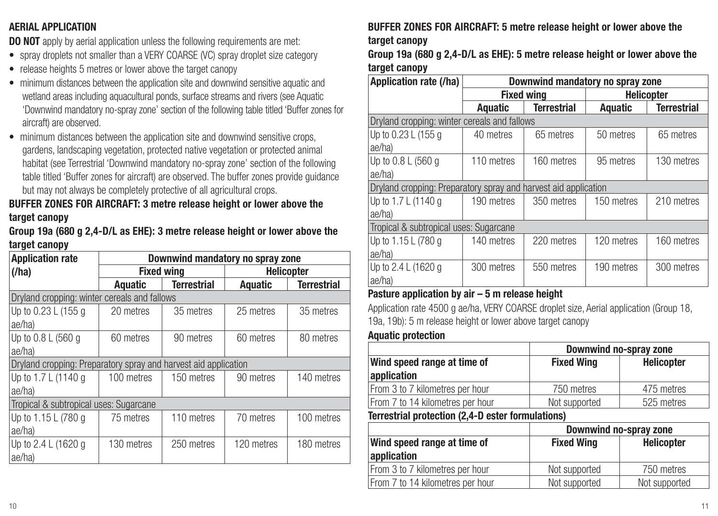#### **AERIAL APPLICATION**

**DO NOT** apply by aerial application unless the following requirements are met:

- spray droplets not smaller than a VERY COARSE (VC) spray droplet size category
- release heights 5 metres or lower above the target canopy
- minimum distances between the application site and downwind sensitive aquatic and wetland areas including aquacultural ponds, surface streams and rivers (see Aquatic 'Downwind mandatory no-spray zone' section of the following table titled 'Buffer zones for aircraft) are observed.
- minimum distances between the application site and downwind sensitive crops, gardens, landscaping vegetation, protected native vegetation or protected animal habitat (see Terrestrial 'Downwind mandatory no-spray zone' section of the following table titled 'Buffer zones for aircraft) are observed. The buffer zones provide guidance but may not always be completely protective of all agricultural crops.

#### **BUFFER ZONES FOR AIRCRAFT: 3 metre release height or lower above the target canopy**

**Group 19a (680 g 2,4-D/L as EHE): 3 metre release height or lower above the target canopy**

| <b>Application rate</b>                                         | Downwind mandatory no spray zone |                    |                   |                    |
|-----------------------------------------------------------------|----------------------------------|--------------------|-------------------|--------------------|
| (/ha)                                                           | <b>Fixed wing</b>                |                    | <b>Helicopter</b> |                    |
|                                                                 | Aquatic                          | <b>Terrestrial</b> | Aquatic           | <b>Terrestrial</b> |
| Dryland cropping: winter cereals and fallows                    |                                  |                    |                   |                    |
| Up to 0.23 L (155 g                                             | 20 metres                        | 35 metres          | 25 metres         | 35 metres          |
| ae/ha)                                                          |                                  |                    |                   |                    |
| Up to 0.8 L (560 g                                              | 60 metres                        | 90 metres          | 60 metres         | 80 metres          |
| ae/ha)                                                          |                                  |                    |                   |                    |
| Dryland cropping: Preparatory spray and harvest aid application |                                  |                    |                   |                    |
| Up to 1.7 L (1140 g                                             | 100 metres                       | 150 metres         | 90 metres         | 140 metres         |
| ae/ha)                                                          |                                  |                    |                   |                    |
| Tropical & subtropical uses: Sugarcane                          |                                  |                    |                   |                    |
| Up to 1.15 L (780 g                                             | 75 metres                        | 110 metres         | 70 metres         | 100 metres         |
| ae/ha)                                                          |                                  |                    |                   |                    |
| Up to 2.4 L (1620 g                                             | 130 metres                       | 250 metres         | 120 metres        | 180 metres         |
| ae/ha)                                                          |                                  |                    |                   |                    |

#### **BUFFER ZONES FOR AIRCRAFT: 5 metre release height or lower above the target canopy**

**Group 19a (680 g 2,4-D/L as EHE): 5 metre release height or lower above the target canopy**

| Application rate (/ha)                                          | Downwind mandatory no spray zone |                    |            |                    |
|-----------------------------------------------------------------|----------------------------------|--------------------|------------|--------------------|
|                                                                 |                                  | <b>Fixed wing</b>  |            | <b>Helicopter</b>  |
|                                                                 | Aquatic                          | <b>Terrestrial</b> | Aquatic    | <b>Terrestrial</b> |
| Dryland cropping: winter cereals and fallows                    |                                  |                    |            |                    |
| Up to 0.23 L (155 g                                             | 40 metres                        | 65 metres          | 50 metres  | 65 metres          |
| ae/ha)                                                          |                                  |                    |            |                    |
| Up to 0.8 L (560 g                                              | 110 metres                       | 160 metres         | 95 metres  | 130 metres         |
| ae/ha)                                                          |                                  |                    |            |                    |
| Dryland cropping: Preparatory spray and harvest aid application |                                  |                    |            |                    |
| Up to 1.7 L (1140 g                                             | 190 metres                       | 350 metres         | 150 metres | 210 metres         |
| ae/ha)                                                          |                                  |                    |            |                    |
| Tropical & subtropical uses: Sugarcane                          |                                  |                    |            |                    |
| Up to 1.15 L (780 g                                             | 140 metres                       | 220 metres         | 120 metres | 160 metres         |
| ae/ha)                                                          |                                  |                    |            |                    |
| Up to 2.4 L (1620 g                                             | 300 metres                       | 550 metres         | 190 metres | 300 metres         |
| lae/ha)                                                         |                                  |                    |            |                    |

#### **Pasture application by air – 5 m release height**

Application rate 4500 g ae/ha, VERY COARSE droplet size, Aerial application (Group 18, 19a, 19b): 5 m release height or lower above target canopy

#### **Aquatic protection**

|                                                                                                                                                                                 | Downwind no-spray zone |                   |  |
|---------------------------------------------------------------------------------------------------------------------------------------------------------------------------------|------------------------|-------------------|--|
| Wind speed range at time of                                                                                                                                                     | <b>Fixed Wing</b>      | <b>Helicopter</b> |  |
| application                                                                                                                                                                     |                        |                   |  |
| From 3 to 7 kilometres per hour                                                                                                                                                 | 750 metres             | 475 metres        |  |
| From 7 to 14 kilometres per hour                                                                                                                                                | Not supported          | 525 metres        |  |
| $\overline{r}$ and a set of the set of the set $\overline{r}$ and $\overline{r}$ and $\overline{r}$ and $\overline{r}$ and $\overline{r}$ and $\overline{r}$ and $\overline{r}$ |                        |                   |  |

**Terrestrial protection (2,4-D ester formulations)**

|                                  | Downwind no-spray zone          |               |  |
|----------------------------------|---------------------------------|---------------|--|
| Wind speed range at time of      | <b>Fixed Wing</b><br>Helicopter |               |  |
| application                      |                                 |               |  |
| From 3 to 7 kilometres per hour  | Not supported                   | 750 metres    |  |
| From 7 to 14 kilometres per hour | Not supported                   | Not supported |  |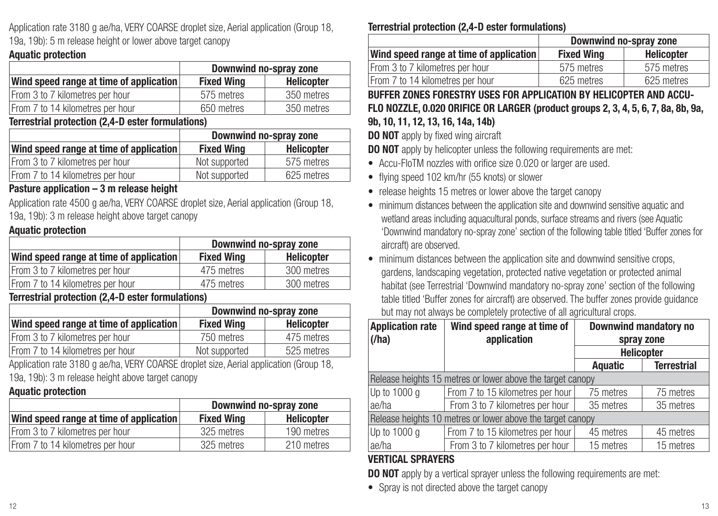Application rate 3180 g ae/ha, VERY COARSE droplet size, Aerial application (Group 18, 19a, 19b): 5 m release height or lower above target canopy

#### **Aquatic protection**

|                                         | Downwind no-spray zone |            |  |
|-----------------------------------------|------------------------|------------|--|
| Wind speed range at time of application | <b>Fixed Wing</b>      | Helicopter |  |
| From 3 to 7 kilometres per hour         | 575 metres             | 350 metres |  |
| From 7 to 14 kilometres per hour        | 650 metres             | 350 metres |  |

**Terrestrial protection (2,4-D ester formulations)**

|                                         | Downwind no-spray zone |            |  |
|-----------------------------------------|------------------------|------------|--|
| Wind speed range at time of application | <b>Fixed Wing</b>      | Helicopter |  |
| From 3 to 7 kilometres per hour         | Not supported          | 575 metres |  |
| From 7 to 14 kilometres per hour        | Not supported          | 625 metres |  |

#### **Pasture application – 3 m release height**

Application rate 4500 g ae/ha, VERY COARSE droplet size, Aerial application (Group 18, 19a, 19b): 3 m release height above target canopy

#### **Aquatic protection**

|                                         | Downwind no-spray zone |                   |  |
|-----------------------------------------|------------------------|-------------------|--|
| Wind speed range at time of application | <b>Fixed Wing</b>      | <b>Helicopter</b> |  |
| From 3 to 7 kilometres per hour         | 475 metres             | 300 metres        |  |
| From 7 to 14 kilometres per hour        | 475 metres             | 300 metres        |  |

#### **Terrestrial protection (2,4-D ester formulations)**

|                                         | Downwind no-spray zone |            |  |
|-----------------------------------------|------------------------|------------|--|
| Wind speed range at time of application | <b>Fixed Wing</b>      | Helicopter |  |
| From 3 to 7 kilometres per hour         | 750 metres             | 475 metres |  |
| From 7 to 14 kilometres per hour        | Not supported          | 525 metres |  |

Application rate 3180 g ae/ha, VERY COARSE droplet size, Aerial application (Group 18, 19a, 19b): 3 m release height above target canopy

#### **Aquatic protection**

|                                         | Downwind no-spray zone |                   |  |
|-----------------------------------------|------------------------|-------------------|--|
| Wind speed range at time of application | <b>Fixed Wing</b>      | <b>Helicopter</b> |  |
| From 3 to 7 kilometres per hour         | 325 metres             | 190 metres        |  |
| From 7 to 14 kilometres per hour        | 325 metres             | 210 metres        |  |

#### **Terrestrial protection (2,4-D ester formulations)**

|                                         | Downwind no-spray zone |            |  |
|-----------------------------------------|------------------------|------------|--|
| Wind speed range at time of application | <b>Fixed Wing</b>      | Helicopter |  |
| From 3 to 7 kilometres per hour         | 575 metres             | 575 metres |  |
| From 7 to 14 kilometres per hour        | 625 metres             | 625 metres |  |

**BUFFER ZONES FORESTRY USES FOR APPLICATION BY HELICOPTER AND ACCU-FLO NOZZLE, 0.020 ORIFICE OR LARGER (product groups 2, 3, 4, 5, 6, 7, 8a, 8b, 9a, 9b, 10, 11, 12, 13, 16, 14a, 14b)**

**DO NOT** apply by fixed wing aircraft

**DO NOT** apply by helicopter unless the following requirements are met:

- Accu-FloTM nozzles with orifice size 0.020 or larger are used.
- flying speed 102 km/hr (55 knots) or slower
- release heights 15 metres or lower above the target canopy
- minimum distances between the application site and downwind sensitive aquatic and wetland areas including aquacultural ponds, surface streams and rivers (see Aquatic 'Downwind mandatory no-spray zone' section of the following table titled 'Buffer zones for aircraft) are observed.
- minimum distances between the application site and downwind sensitive crops. gardens, landscaping vegetation, protected native vegetation or protected animal habitat (see Terrestrial 'Downwind mandatory no-spray zone' section of the following table titled 'Buffer zones for aircraft) are observed. The buffer zones provide guidance but may not always be completely protective of all agricultural crops.

| <b>Application rate</b>                                    | Wind speed range at time of      | Downwind mandatory no |                    |  |  |  |  |
|------------------------------------------------------------|----------------------------------|-----------------------|--------------------|--|--|--|--|
| (/ha)                                                      | application                      | spray zone            |                    |  |  |  |  |
|                                                            |                                  | <b>Helicopter</b>     |                    |  |  |  |  |
|                                                            |                                  | <b>Aquatic</b>        | <b>Terrestrial</b> |  |  |  |  |
| Release heights 15 metres or lower above the target canopy |                                  |                       |                    |  |  |  |  |
| Up to 1000 q                                               | From 7 to 15 kilometres per hour | 75 metres             | 75 metres          |  |  |  |  |
| ae/ha                                                      | From 3 to 7 kilometres per hour  | 35 metres             | 35 metres          |  |  |  |  |
| Release heights 10 metres or lower above the target canopy |                                  |                       |                    |  |  |  |  |
| Up to 1000 a                                               | From 7 to 15 kilometres per hour | 45 metres             | 45 metres          |  |  |  |  |
| ae/ha                                                      | From 3 to 7 kilometres per hour  | 15 metres             | 15 metres          |  |  |  |  |

#### **VERTICAL SPRAYERS**

**DO NOT** apply by a vertical sprayer unless the following requirements are met:

• Spray is not directed above the target canopy